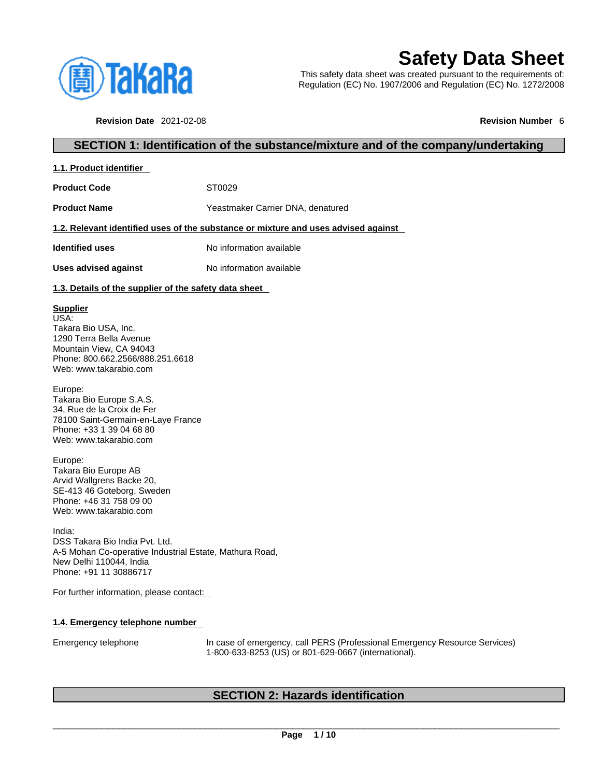

# **Safety Data Sheet**

This safety data sheet was created pursuant to the requirements of: Regulation (EC) No. 1907/2006 and Regulation (EC) No. 1272/2008

**Revision Date** 2021-02-08 **Revision Number** 6

### **SECTION 1: Identification of the substance/mixture and of the company/undertaking**

| 1.1. Product identifier |
|-------------------------|
|-------------------------|

Product Code **ST0029** 

**Product Name** Yeastmaker Carrier DNA, denatured

### **1.2. Relevant identified uses of the substance or mixture and uses advised against**

**Identified uses** No information available

**Uses advised against** No information available

### **1.3. Details of the supplier of the safety data sheet**

### **Supplier**

USA: Takara Bio USA, Inc. 1290 Terra Bella Avenue Mountain View, CA 94043 Phone: 800.662.2566/888.251.6618 Web: www.takarabio.com

Europe: Takara Bio Europe S.A.S. 34, Rue de la Croix de Fer 78100 Saint-Germain-en-Laye France Phone: +33 1 39 04 68 80 Web: www.takarabio.com

Europe: Takara Bio Europe AB Arvid Wallgrens Backe 20, SE-413 46 Goteborg, Sweden Phone: +46 31 758 09 00 Web: www.takarabio.com

India: DSS Takara Bio India Pvt. Ltd. A-5 Mohan Co-operative Industrial Estate, Mathura Road, New Delhi 110044, India Phone: +91 11 30886717

For further information, please contact:

### **1.4. Emergency telephone number**

Emergency telephone In case of emergency, call PERS (Professional Emergency Resource Services) 1-800-633-8253 (US) or 801-629-0667 (international).

### **SECTION 2: Hazards identification**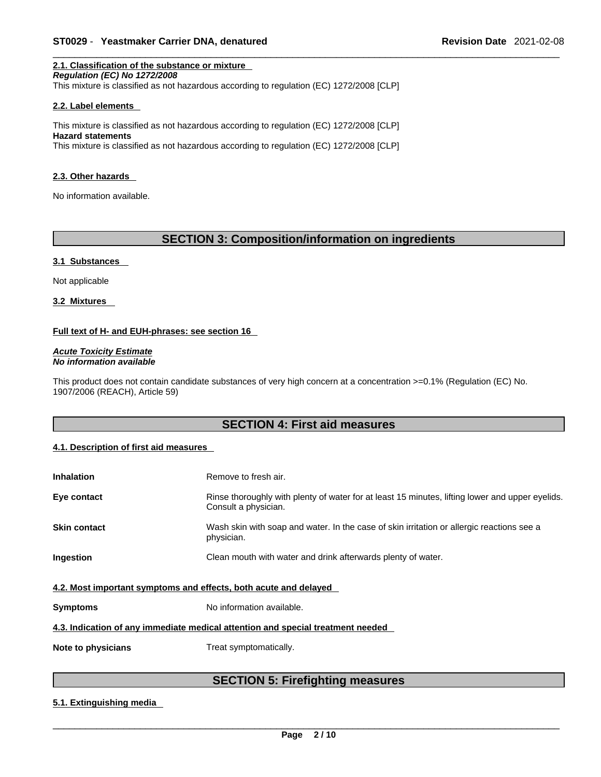#### **2.1. Classification of the substance or mixture** *Regulation (EC) No 1272/2008*

This mixture is classified as not hazardous according to regulation (EC) 1272/2008 [CLP]

### **2.2. Label elements**

This mixture is classified as not hazardous according to regulation (EC) 1272/2008 [CLP] **Hazard statements** This mixture is classified as not hazardous according to regulation (EC) 1272/2008 [CLP]

#### **2.3. Other hazards**

No information available.

### **SECTION 3: Composition/information on ingredients**

### **3.1 Substances**

Not applicable

**3.2 Mixtures** 

### **Full text of H- and EUH-phrases: see section 16**

*Acute Toxicity Estimate No information available* 

This product does not contain candidate substances of very high concern at a concentration >=0.1% (Regulation (EC) No. 1907/2006 (REACH), Article 59)

### **SECTION 4: First aid measures**

### **4.1. Description of first aid measures**

| <b>Inhalation</b>                                                               | Remove to fresh air.                                                                                                    |  |
|---------------------------------------------------------------------------------|-------------------------------------------------------------------------------------------------------------------------|--|
| Eye contact                                                                     | Rinse thoroughly with plenty of water for at least 15 minutes, lifting lower and upper eyelids.<br>Consult a physician. |  |
| <b>Skin contact</b>                                                             | Wash skin with soap and water. In the case of skin irritation or allergic reactions see a<br>physician.                 |  |
| Ingestion                                                                       | Clean mouth with water and drink afterwards plenty of water.                                                            |  |
| 4.2. Most important symptoms and effects, both acute and delayed                |                                                                                                                         |  |
| <b>Symptoms</b>                                                                 | No information available.                                                                                               |  |
| 4.3. Indication of any immediate medical attention and special treatment needed |                                                                                                                         |  |
| Note to physicians                                                              | Treat symptomatically.                                                                                                  |  |

### **SECTION 5: Firefighting measures**

### **5.1. Extinguishing media**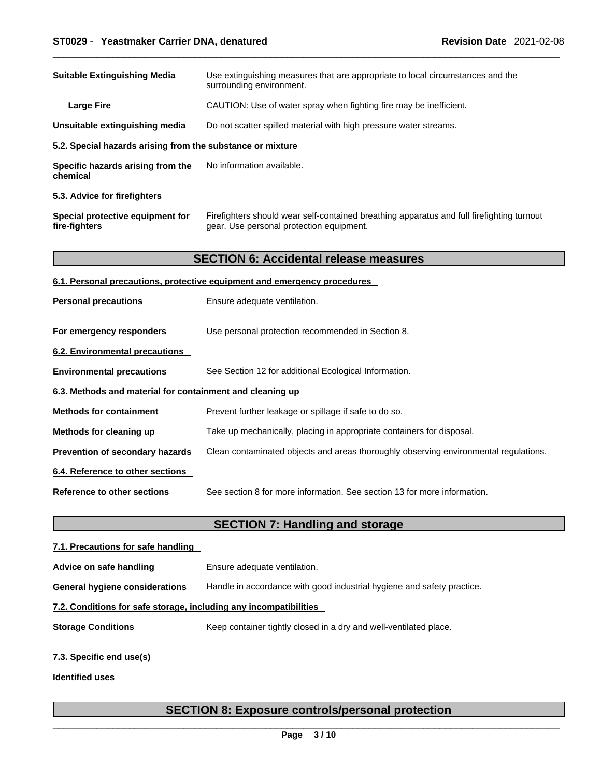| <b>Suitable Extinguishing Media</b>                                                                                                                                                        | Use extinguishing measures that are appropriate to local circumstances and the<br>surrounding environment. |  |
|--------------------------------------------------------------------------------------------------------------------------------------------------------------------------------------------|------------------------------------------------------------------------------------------------------------|--|
| CAUTION: Use of water spray when fighting fire may be inefficient.<br><b>Large Fire</b>                                                                                                    |                                                                                                            |  |
| Unsuitable extinguishing media                                                                                                                                                             | Do not scatter spilled material with high pressure water streams.                                          |  |
| 5.2. Special hazards arising from the substance or mixture                                                                                                                                 |                                                                                                            |  |
| Specific hazards arising from the<br>chemical                                                                                                                                              | No information available.                                                                                  |  |
| 5.3. Advice for firefighters                                                                                                                                                               |                                                                                                            |  |
| Firefighters should wear self-contained breathing apparatus and full firefighting turnout<br>Special protective equipment for<br>fire-fighters<br>gear. Use personal protection equipment. |                                                                                                            |  |
|                                                                                                                                                                                            | <b>SECTION 6: Accidental release measures</b>                                                              |  |
|                                                                                                                                                                                            | 6.1. Personal precautions, protective equipment and emergency procedures                                   |  |
| <b>Personal precautions</b>                                                                                                                                                                | Ensure adequate ventilation.                                                                               |  |
| For emergency responders                                                                                                                                                                   | Use personal protection recommended in Section 8.                                                          |  |
| 6.2. Environmental precautions                                                                                                                                                             |                                                                                                            |  |
| <b>Environmental precautions</b>                                                                                                                                                           | See Section 12 for additional Ecological Information.                                                      |  |
| 6.3. Methods and material for containment and cleaning up                                                                                                                                  |                                                                                                            |  |
| <b>Methods for containment</b>                                                                                                                                                             | Prevent further leakage or spillage if safe to do so.                                                      |  |
| Methods for cleaning up                                                                                                                                                                    | Take up mechanically, placing in appropriate containers for disposal.                                      |  |
| Prevention of secondary hazards                                                                                                                                                            | Clean contaminated objects and areas thoroughly observing environmental regulations.                       |  |
| 6.4. Reference to other sections                                                                                                                                                           |                                                                                                            |  |
| <b>Reference to other sections</b>                                                                                                                                                         | See section 8 for more information. See section 13 for more information.                                   |  |
|                                                                                                                                                                                            | <b>SECTION 7: Handling and storage</b>                                                                     |  |
| 7.1. Precautions for safe handling                                                                                                                                                         |                                                                                                            |  |
| Advice on safe handling                                                                                                                                                                    | Ensure adequate ventilation.                                                                               |  |

**General hygiene considerations** Handle in accordance with good industrial hygiene and safety practice.

### **7.2. Conditions for safe storage, including any incompatibilities**

**Storage Conditions** Keep container tightly closed in a dry and well-ventilated place.

### **7.3. Specific end use(s)**

**Identified uses**

## **SECTION 8: Exposure controls/personal protection**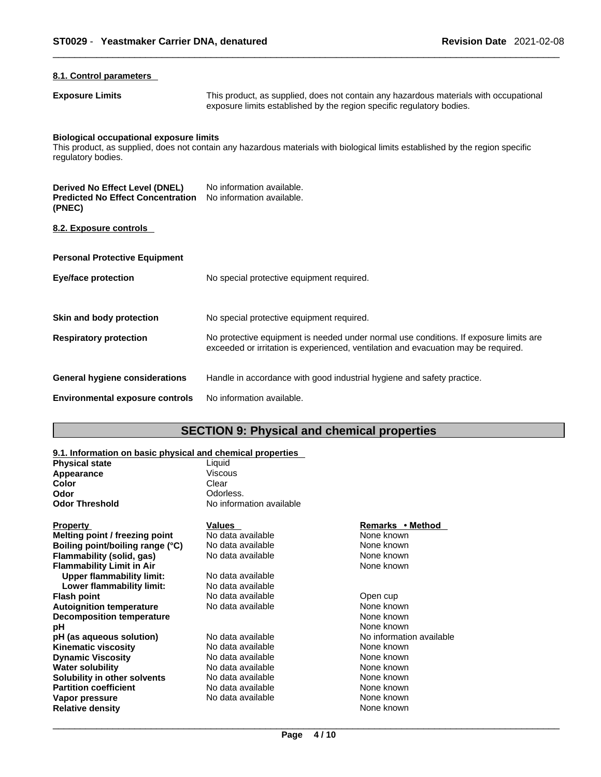| 8.1. Control parameters                                                              |                                                                                                                                                                             |
|--------------------------------------------------------------------------------------|-----------------------------------------------------------------------------------------------------------------------------------------------------------------------------|
| <b>Exposure Limits</b>                                                               | This product, as supplied, does not contain any hazardous materials with occupational<br>exposure limits established by the region specific regulatory bodies.              |
| <b>Biological occupational exposure limits</b><br>regulatory bodies.                 | This product, as supplied, does not contain any hazardous materials with biological limits established by the region specific                                               |
| Derived No Effect Level (DNEL)<br><b>Predicted No Effect Concentration</b><br>(PNEC) | No information available.<br>No information available.                                                                                                                      |
| 8.2. Exposure controls                                                               |                                                                                                                                                                             |
| <b>Personal Protective Equipment</b>                                                 |                                                                                                                                                                             |
| <b>Eye/face protection</b>                                                           | No special protective equipment required.                                                                                                                                   |
| Skin and body protection                                                             | No special protective equipment required.                                                                                                                                   |
| <b>Respiratory protection</b>                                                        | No protective equipment is needed under normal use conditions. If exposure limits are<br>exceeded or irritation is experienced, ventilation and evacuation may be required. |
| General hygiene considerations                                                       | Handle in accordance with good industrial hygiene and safety practice.                                                                                                      |
| <b>Environmental exposure controls</b>                                               | No information available.                                                                                                                                                   |

# **SECTION 9: Physical and chemical properties**

#### **9.1. Information on basic physical and chemical properties**

| <b>Viscous</b><br>Appearance<br>Color<br>Clear<br>Odorless.<br>Odor<br><b>Odor Threshold</b><br>No information available<br>Remarks • Method<br><b>Property</b><br><b>Values</b><br>None known<br>No data available<br>Melting point / freezing point<br>No data available<br>None known<br>Boiling point/boiling range (°C) |  |
|------------------------------------------------------------------------------------------------------------------------------------------------------------------------------------------------------------------------------------------------------------------------------------------------------------------------------|--|
|                                                                                                                                                                                                                                                                                                                              |  |
|                                                                                                                                                                                                                                                                                                                              |  |
|                                                                                                                                                                                                                                                                                                                              |  |
|                                                                                                                                                                                                                                                                                                                              |  |
|                                                                                                                                                                                                                                                                                                                              |  |
|                                                                                                                                                                                                                                                                                                                              |  |
|                                                                                                                                                                                                                                                                                                                              |  |
| Flammability (solid, gas)<br>None known<br>No data available                                                                                                                                                                                                                                                                 |  |
| None known<br><b>Flammability Limit in Air</b>                                                                                                                                                                                                                                                                               |  |
| <b>Upper flammability limit:</b><br>No data available                                                                                                                                                                                                                                                                        |  |
| Lower flammability limit:<br>No data available                                                                                                                                                                                                                                                                               |  |
| <b>Flash point</b><br>No data available<br>Open cup                                                                                                                                                                                                                                                                          |  |
| <b>Autoignition temperature</b><br>No data available<br>None known                                                                                                                                                                                                                                                           |  |
| None known<br><b>Decomposition temperature</b>                                                                                                                                                                                                                                                                               |  |
| None known<br>рH                                                                                                                                                                                                                                                                                                             |  |
| No data available<br>No information available<br>pH (as aqueous solution)                                                                                                                                                                                                                                                    |  |
| None known<br><b>Kinematic viscosity</b><br>No data available                                                                                                                                                                                                                                                                |  |
| <b>Dynamic Viscosity</b><br>None known<br>No data available                                                                                                                                                                                                                                                                  |  |
| None known<br><b>Water solubility</b><br>No data available                                                                                                                                                                                                                                                                   |  |
| Solubility in other solvents<br>None known<br>No data available                                                                                                                                                                                                                                                              |  |
| <b>Partition coefficient</b><br>None known<br>No data available                                                                                                                                                                                                                                                              |  |
| None known<br>No data available<br>Vapor pressure                                                                                                                                                                                                                                                                            |  |
| <b>Relative density</b><br>None known                                                                                                                                                                                                                                                                                        |  |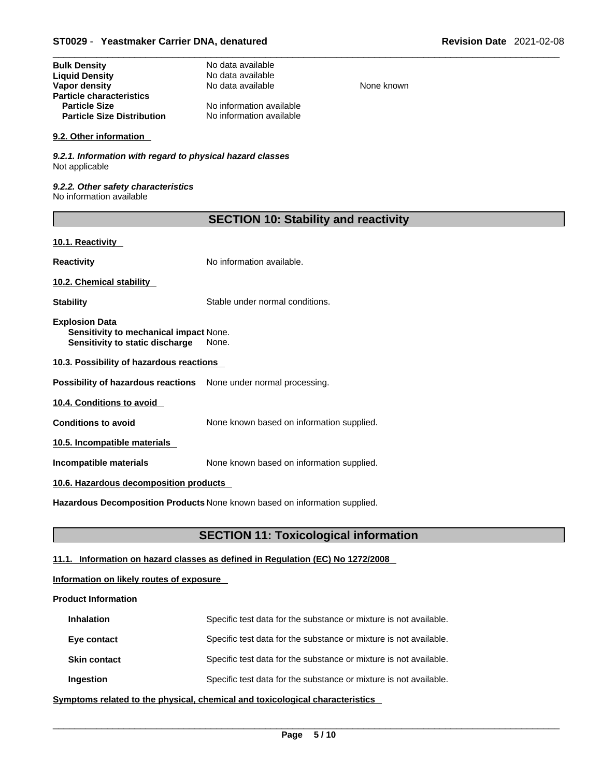| No data available        |
|--------------------------|
| No data available        |
| No data available        |
|                          |
| No information available |
| No information available |
|                          |

### **9.2. Other information**

*9.2.1. Information with regard to physical hazard classes* Not applicable

*9.2.2. Other safety characteristics* No information available

| <b>SECTION 10: Stability and reactivity</b> |  |
|---------------------------------------------|--|
|---------------------------------------------|--|

**None known** 

### **10.1. Reactivity**

**Reactivity No information available.** 

**10.2. Chemical stability** 

**Stability** Stable under normal conditions.

**Explosion Data Sensitivity to mechanical impact** None. **Sensitivity to static discharge** None.

**10.3. Possibility of hazardous reactions**

**Possibility of hazardous reactions** None under normal processing.

**10.4. Conditions to avoid** 

**Conditions to avoid** None known based on information supplied.

**10.5. Incompatible materials**

**Incompatible materials** None known based on information supplied.

### **10.6. Hazardous decomposition products**

**Hazardous Decomposition Products** None known based on information supplied.

### **SECTION 11: Toxicological information**

### **11.1. Information on hazard classes as defined in Regulation (EC) No 1272/2008**

### **Information on likely routes of exposure**

### **Product Information**

| <b>Inhalation</b>   | Specific test data for the substance or mixture is not available. |
|---------------------|-------------------------------------------------------------------|
| Eye contact         | Specific test data for the substance or mixture is not available. |
| <b>Skin contact</b> | Specific test data for the substance or mixture is not available. |
| Ingestion           | Specific test data for the substance or mixture is not available. |

**<u>Symptoms related to the physical, chemical and toxicological characteristics</u>**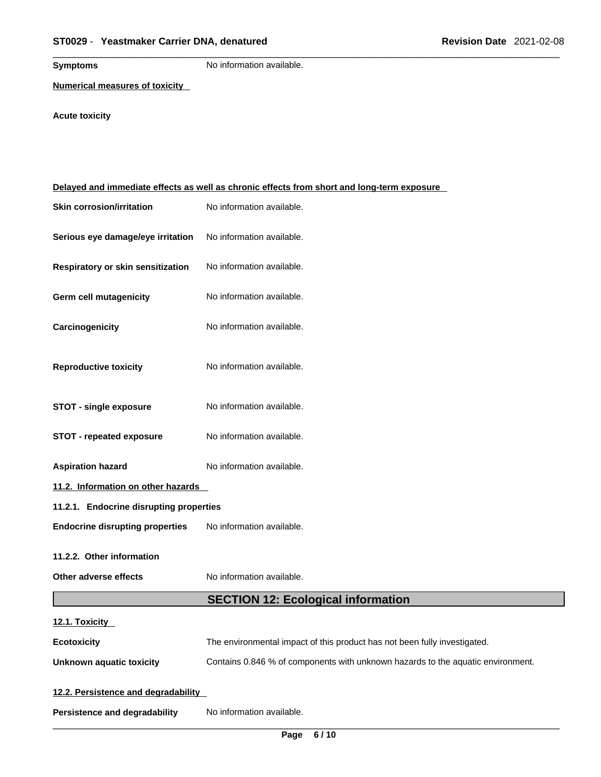**Symptoms** No information available.

**Numerical measures of toxicity**

**Acute toxicity** 

|                                         | Delayed and immediate effects as well as chronic effects from short and long-term exposure |  |
|-----------------------------------------|--------------------------------------------------------------------------------------------|--|
| <b>Skin corrosion/irritation</b>        | No information available.                                                                  |  |
| Serious eye damage/eye irritation       | No information available.                                                                  |  |
| Respiratory or skin sensitization       | No information available.                                                                  |  |
| Germ cell mutagenicity                  | No information available.                                                                  |  |
| Carcinogenicity                         | No information available.                                                                  |  |
| <b>Reproductive toxicity</b>            | No information available.                                                                  |  |
| <b>STOT - single exposure</b>           | No information available.                                                                  |  |
| <b>STOT - repeated exposure</b>         | No information available.                                                                  |  |
| <b>Aspiration hazard</b>                | No information available.                                                                  |  |
| 11.2. Information on other hazards      |                                                                                            |  |
| 11.2.1. Endocrine disrupting properties |                                                                                            |  |
| <b>Endocrine disrupting properties</b>  | No information available.                                                                  |  |
| 11.2.2. Other information               |                                                                                            |  |
| Other adverse effects                   | No information available.                                                                  |  |
|                                         | <b>SECTION 12: Ecological information</b>                                                  |  |
| 12.1. Toxicity                          |                                                                                            |  |
| <b>Ecotoxicity</b>                      | The environmental impact of this product has not been fully investigated.                  |  |
| <b>Unknown aquatic toxicity</b>         | Contains 0.846 % of components with unknown hazards to the aquatic environment.            |  |
| 12.2. Persistence and degradability     |                                                                                            |  |
| <b>Persistence and degradability</b>    | No information available.                                                                  |  |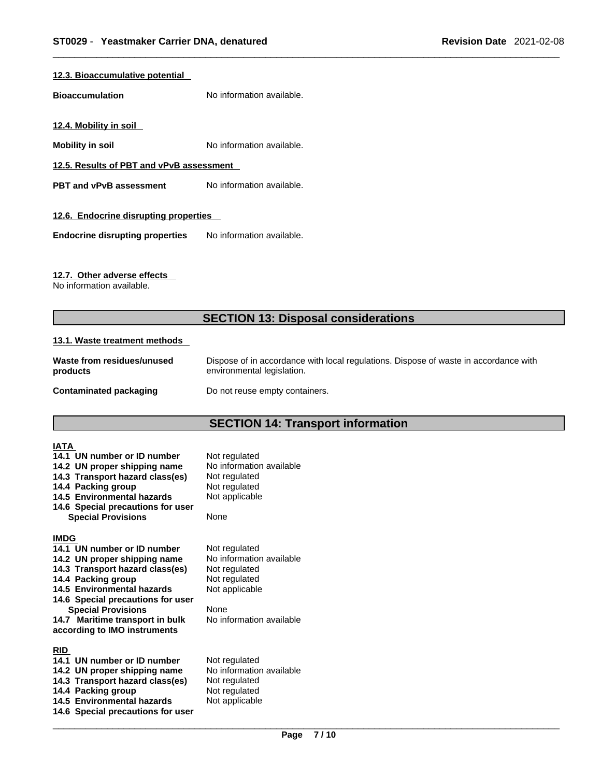### **12.3. Bioaccumulative potential**

**Bioaccumulation** No information available.

**12.4. Mobility in soil** 

**Mobility in soil** No information available.

**12.5. Results of PBT and vPvB assessment**

**PBT** and **vPvB** assessment No information available.

### **12.6. Endocrine disrupting properties**

**Endocrine disrupting properties** No information available.

### **12.7. Other adverse effects**

No information available.

### **SECTION 13: Disposal considerations**

### **13.1. Waste treatment methods**

| Waste from residues/unused | Dispose of in accordance with local regulations. Dispose of waste in accordance with |
|----------------------------|--------------------------------------------------------------------------------------|
| products                   | environmental legislation.                                                           |
| Contaminated packaging     | Do not reuse empty containers.                                                       |

# **SECTION 14: Transport information**

| <b>IATA</b>                |                                   |                          |
|----------------------------|-----------------------------------|--------------------------|
|                            | 14.1 UN number or ID number       | Not regulated            |
|                            | 14.2 UN proper shipping name      | No information available |
|                            | 14.3 Transport hazard class(es)   | Not regulated            |
| 14.4 Packing group         |                                   | Not regulated            |
| 14.5 Environmental hazards |                                   | Not applicable           |
|                            | 14.6 Special precautions for user |                          |
| <b>Special Provisions</b>  |                                   | None                     |
| <b>IMDG</b>                |                                   |                          |
|                            | 14.1 UN number or ID number       | Not regulated            |
|                            | 14.2 UN proper shipping name      | No information available |
|                            | 14.3 Transport hazard class(es)   | Not regulated            |
| 14.4 Packing group         |                                   | Not regulated            |
| 14.5 Environmental hazards |                                   | Not applicable           |
|                            | 14.6 Special precautions for user |                          |
| <b>Special Provisions</b>  |                                   | None                     |
|                            | 14.7 Maritime transport in bulk   | No information available |
|                            | according to IMO instruments      |                          |
| <b>RID</b>                 |                                   |                          |
|                            | 14.1 UN number or ID number       | Not regulated            |
|                            | 14.2 UN proper shipping name      | No information available |
|                            | 14.3 Transport hazard class(es)   | Not regulated            |
| 14.4 Packing group         |                                   | Not regulated            |
| 14.5 Environmental hazards |                                   | Not applicable           |
|                            | 14.6 Special precautions for user |                          |
|                            |                                   |                          |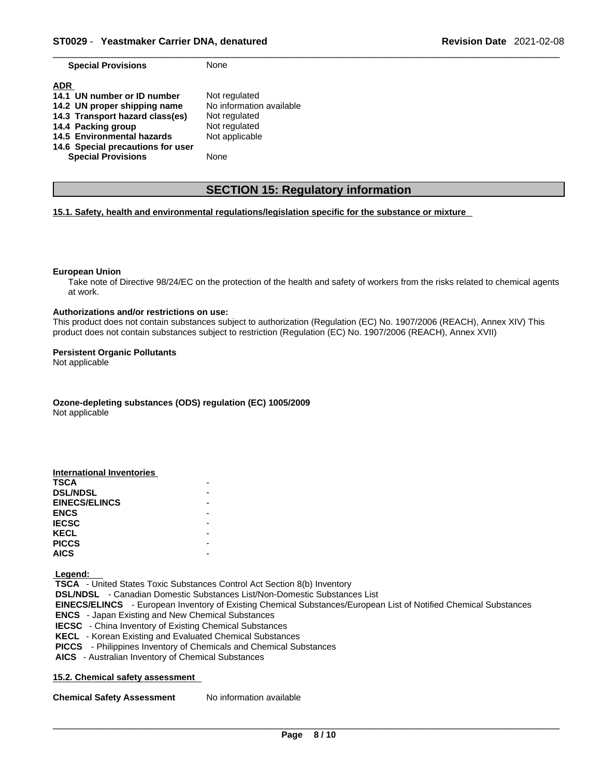| <b>Special Provisions</b>         | None                     |
|-----------------------------------|--------------------------|
| <b>ADR</b>                        |                          |
| 14.1 UN number or ID number       | Not regulated            |
| 14.2 UN proper shipping name      | No information available |
| 14.3 Transport hazard class(es)   | Not regulated            |
| 14.4 Packing group                | Not regulated            |
| 14.5 Environmental hazards        | Not applicable           |
| 14.6 Special precautions for user |                          |
| <b>Special Provisions</b>         | None                     |

### **SECTION 15: Regulatory information**

### **15.1. Safety, health and environmental regulations/legislation specific for the substance or mixture**

#### **European Union**

Take note of Directive 98/24/EC on the protection of the health and safety of workers from the risks related to chemical agents at work.

#### **Authorizations and/or restrictions on use:**

This product does not contain substances subject to authorization (Regulation (EC) No. 1907/2006 (REACH), Annex XIV) This product does not contain substances subject to restriction (Regulation (EC) No. 1907/2006 (REACH), Annex XVII)

#### **Persistent Organic Pollutants**

Not applicable

**Ozone-depleting substances (ODS) regulation (EC) 1005/2009**

Not applicable

| <b>International Inventories</b> |  |
|----------------------------------|--|
| <b>TSCA</b>                      |  |
| <b>DSL/NDSL</b>                  |  |
| <b>EINECS/ELINCS</b>             |  |
| <b>ENCS</b>                      |  |
| <b>IECSC</b>                     |  |
| <b>KECL</b>                      |  |
| <b>PICCS</b>                     |  |
| <b>AICS</b>                      |  |

 **Legend:** 

 **TSCA** - United States Toxic Substances Control Act Section 8(b) Inventory  **DSL/NDSL** - Canadian Domestic Substances List/Non-Domestic Substances List  **EINECS/ELINCS** - European Inventory of Existing Chemical Substances/European List of Notified Chemical Substances  **ENCS** - Japan Existing and New Chemical Substances  **IECSC** - China Inventory of Existing Chemical Substances  **KECL** - Korean Existing and Evaluated Chemical Substances  **PICCS** - Philippines Inventory of Chemicals and Chemical Substances  **AICS** - Australian Inventory of Chemical Substances

### **15.2. Chemical safety assessment**

**Chemical Safety Assessment** No information available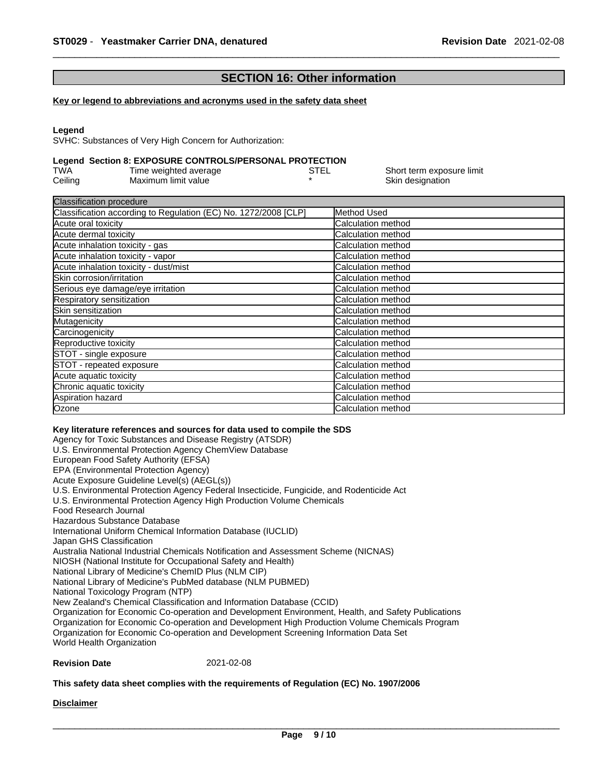### **SECTION 16: Other information**

#### **Key or legend to abbreviations and acronyms used in the safety data sheet**

#### **Legend**

SVHC: Substances of Very High Concern for Authorization:

### **Legend Section 8: EXPOSURE CONTROLS/PERSONAL PROTECTION**

| TWA     | Time weighted average | STEL | Short term exposure limit |
|---------|-----------------------|------|---------------------------|
| Ceiling | Maximum limit value   |      | Skin designation          |

| <b>I</b> Method Used      |
|---------------------------|
| Calculation method        |
| Calculation method        |
| Calculation method        |
| Calculation method        |
| Calculation method        |
| <b>Calculation method</b> |
| Calculation method        |
| Calculation method        |
| Calculation method        |
| Calculation method        |
| Calculation method        |
| <b>Calculation method</b> |
| Calculation method        |
| Calculation method        |
| Calculation method        |
| Calculation method        |
| <b>Calculation method</b> |
| Calculation method        |
|                           |

#### **Key literature references and sources for data used to compile the SDS**

Agency for Toxic Substances and Disease Registry (ATSDR) U.S. Environmental Protection Agency ChemView Database European Food Safety Authority (EFSA) EPA (Environmental Protection Agency) Acute Exposure Guideline Level(s) (AEGL(s)) U.S. Environmental Protection Agency Federal Insecticide, Fungicide, and Rodenticide Act U.S. Environmental Protection Agency High Production Volume Chemicals Food Research Journal Hazardous Substance Database International Uniform Chemical Information Database (IUCLID) Japan GHS Classification Australia National Industrial Chemicals Notification and Assessment Scheme (NICNAS) NIOSH (National Institute for Occupational Safety and Health) National Library of Medicine's ChemID Plus (NLM CIP) National Library of Medicine's PubMed database (NLM PUBMED) National Toxicology Program (NTP) New Zealand's Chemical Classification and Information Database (CCID) Organization for Economic Co-operation and Development Environment, Health, and Safety Publications Organization for Economic Co-operation and Development High Production Volume Chemicals Program Organization for Economic Co-operation and Development Screening Information Data Set World Health Organization

### **Revision Date** 2021-02-08

#### **This safety data sheet complies with the requirements of Regulation (EC) No. 1907/2006**

**Disclaimer**